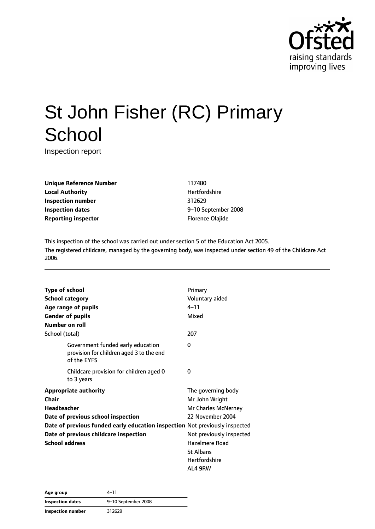

# St John Fisher (RC) Primary **School**

Inspection report

**Unique Reference Number** 117480 **Local Authority Hertfordshire Inspection number** 312629 **Inspection dates** 9–10 September 2008 **Reporting inspector Example 20 and Separate Construction** Florence Olajide

This inspection of the school was carried out under section 5 of the Education Act 2005. The registered childcare, managed by the governing body, was inspected under section 49 of the Childcare Act 2006.

| <b>Type of school</b>                                                       |                                                                                              | Primary                  |
|-----------------------------------------------------------------------------|----------------------------------------------------------------------------------------------|--------------------------|
| <b>School category</b>                                                      |                                                                                              | Voluntary aided          |
|                                                                             | Age range of pupils                                                                          | $4 - 11$                 |
|                                                                             | <b>Gender of pupils</b>                                                                      | Mixed                    |
| Number on roll                                                              |                                                                                              |                          |
| School (total)                                                              |                                                                                              | 207                      |
|                                                                             | Government funded early education<br>provision for children aged 3 to the end<br>of the EYFS | 0                        |
|                                                                             | Childcare provision for children aged 0<br>to 3 years                                        | 0                        |
|                                                                             | <b>Appropriate authority</b>                                                                 | The governing body       |
| Chair                                                                       |                                                                                              | Mr John Wright           |
| <b>Headteacher</b>                                                          |                                                                                              | Mr Charles McNerney      |
|                                                                             | Date of previous school inspection                                                           | 22 November 2004         |
| Date of previous funded early education inspection Not previously inspected |                                                                                              |                          |
| Date of previous childcare inspection                                       |                                                                                              | Not previously inspected |
| <b>School address</b>                                                       |                                                                                              | Hazelmere Road           |
|                                                                             |                                                                                              | <b>St Albans</b>         |
|                                                                             |                                                                                              | <b>Hertfordshire</b>     |
|                                                                             |                                                                                              | AL4 9RW                  |

| Age group               | 4–11                |
|-------------------------|---------------------|
| <b>Inspection dates</b> | 9-10 September 2008 |
| Inspection number       | 312629              |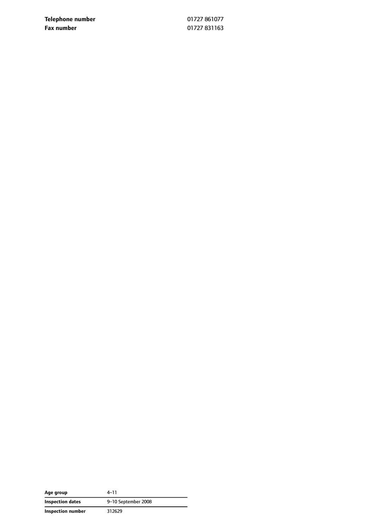**Telephone number** 01727 861077 **Fax number** 01727 831163

| Age group                | $4 - 11$            |
|--------------------------|---------------------|
| <b>Inspection dates</b>  | 9-10 September 2008 |
| <b>Inspection number</b> | 312629              |

 $\overline{\phantom{0}}$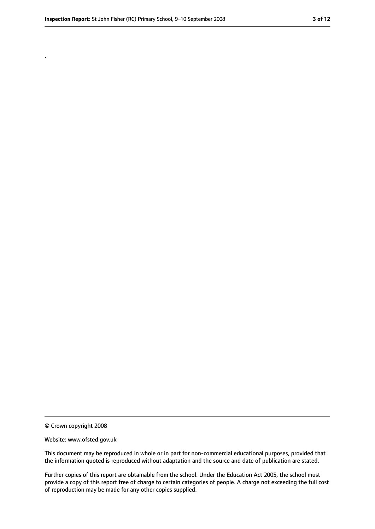.

<sup>©</sup> Crown copyright 2008

Website: www.ofsted.gov.uk

This document may be reproduced in whole or in part for non-commercial educational purposes, provided that the information quoted is reproduced without adaptation and the source and date of publication are stated.

Further copies of this report are obtainable from the school. Under the Education Act 2005, the school must provide a copy of this report free of charge to certain categories of people. A charge not exceeding the full cost of reproduction may be made for any other copies supplied.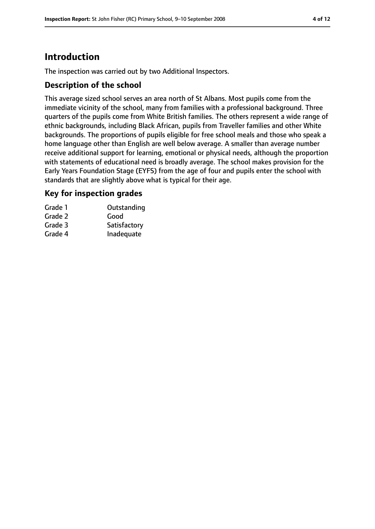# **Introduction**

The inspection was carried out by two Additional Inspectors.

## **Description of the school**

This average sized school serves an area north of St Albans. Most pupils come from the immediate vicinity of the school, many from families with a professional background. Three quarters of the pupils come from White British families. The others represent a wide range of ethnic backgrounds, including Black African, pupils from Traveller families and other White backgrounds. The proportions of pupils eligible for free school meals and those who speak a home language other than English are well below average. A smaller than average number receive additional support for learning, emotional or physical needs, although the proportion with statements of educational need is broadly average. The school makes provision for the Early Years Foundation Stage (EYFS) from the age of four and pupils enter the school with standards that are slightly above what is typical for their age.

## **Key for inspection grades**

| Grade 1 | Outstanding  |
|---------|--------------|
| Grade 2 | Good         |
| Grade 3 | Satisfactory |
| Grade 4 | Inadequate   |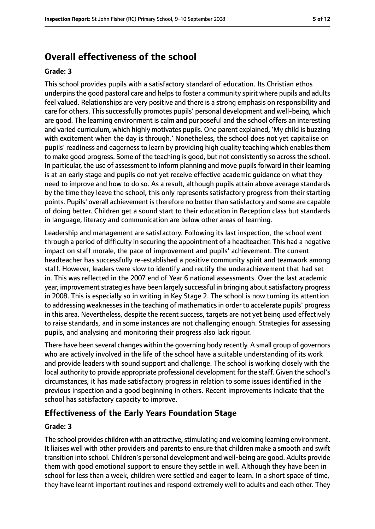# **Overall effectiveness of the school**

#### **Grade: 3**

This school provides pupils with a satisfactory standard of education. Its Christian ethos underpins the good pastoral care and helps to foster a community spirit where pupils and adults feel valued. Relationships are very positive and there is a strong emphasis on responsibility and care for others. This successfully promotes pupils' personal development and well-being, which are good. The learning environment is calm and purposeful and the school offers an interesting and varied curriculum, which highly motivates pupils. One parent explained, 'My child is buzzing with excitement when the day is through.' Nonetheless, the school does not yet capitalise on pupils' readiness and eagerness to learn by providing high quality teaching which enables them to make good progress. Some of the teaching is good, but not consistently so acrossthe school. In particular, the use of assessment to inform planning and move pupils forward in their learning is at an early stage and pupils do not yet receive effective academic guidance on what they need to improve and how to do so. As a result, although pupils attain above average standards by the time they leave the school, this only represents satisfactory progress from their starting points. Pupils' overall achievement is therefore no better than satisfactory and some are capable of doing better. Children get a sound start to their education in Reception class but standards in language, literacy and communication are below other areas of learning.

Leadership and management are satisfactory. Following its last inspection, the school went through a period of difficulty in securing the appointment of a headteacher. This had a negative impact on staff morale, the pace of improvement and pupils' achievement. The current headteacher has successfully re-established a positive community spirit and teamwork among staff. However, leaders were slow to identify and rectify the underachievement that had set in. This was reflected in the 2007 end of Year 6 national assessments. Over the last academic year, improvement strategies have been largely successful in bringing about satisfactory progress in 2008. This is especially so in writing in Key Stage 2. The school is now turning its attention to addressing weaknessesin the teaching of mathematicsin order to accelerate pupils' progress in this area. Nevertheless, despite the recent success, targets are not yet being used effectively to raise standards, and in some instances are not challenging enough. Strategies for assessing pupils, and analysing and monitoring their progress also lack rigour.

There have been several changes within the governing body recently. A small group of governors who are actively involved in the life of the school have a suitable understanding of its work and provide leaders with sound support and challenge. The school is working closely with the local authority to provide appropriate professional development for the staff. Given the school's circumstances, it has made satisfactory progress in relation to some issues identified in the previous inspection and a good beginning in others. Recent improvements indicate that the school has satisfactory capacity to improve.

#### **Effectiveness of the Early Years Foundation Stage**

#### **Grade: 3**

The school provides children with an attractive, stimulating and welcoming learning environment. It liaises well with other providers and parents to ensure that children make a smooth and swift transition into school. Children's personal development and well-being are good. Adults provide them with good emotional support to ensure they settle in well. Although they have been in school for less than a week, children were settled and eager to learn. In a short space of time, they have learnt important routines and respond extremely well to adults and each other. They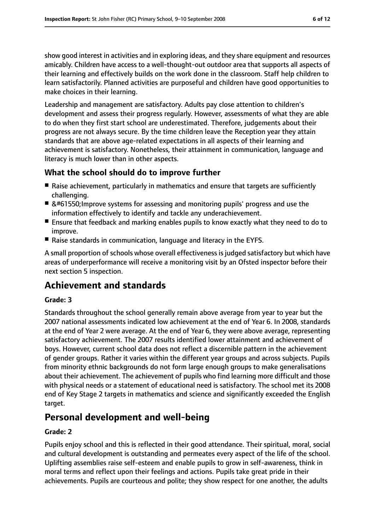show good interest in activities and in exploring ideas, and they share equipment and resources amicably. Children have access to a well-thought-out outdoor area that supports all aspects of their learning and effectively builds on the work done in the classroom. Staff help children to learn satisfactorily. Planned activities are purposeful and children have good opportunities to make choices in their learning.

Leadership and management are satisfactory. Adults pay close attention to children's development and assess their progress regularly. However, assessments of what they are able to do when they first start school are underestimated. Therefore, judgements about their progress are not always secure. By the time children leave the Reception year they attain standards that are above age-related expectations in all aspects of their learning and achievement is satisfactory. Nonetheless, their attainment in communication, language and literacy is much lower than in other aspects.

## **What the school should do to improve further**

- Raise achievement, particularly in mathematics and ensure that targets are sufficiently challenging.
-  Improve systems for assessing and monitoring pupils' progress and use the information effectively to identify and tackle any underachievement.
- Ensure that feedback and marking enables pupils to know exactly what they need to do to improve.
- Raise standards in communication, language and literacy in the EYFS.

A small proportion of schools whose overall effectiveness is judged satisfactory but which have areas of underperformance will receive a monitoring visit by an Ofsted inspector before their next section 5 inspection.

# **Achievement and standards**

#### **Grade: 3**

Standards throughout the school generally remain above average from year to year but the 2007 national assessments indicated low achievement at the end of Year 6. In 2008, standards at the end of Year 2 were average. At the end of Year 6, they were above average, representing satisfactory achievement. The 2007 results identified lower attainment and achievement of boys. However, current school data does not reflect a discernible pattern in the achievement of gender groups. Rather it varies within the different year groups and across subjects. Pupils from minority ethnic backgrounds do not form large enough groups to make generalisations about their achievement. The achievement of pupils who find learning more difficult and those with physical needs or a statement of educational need is satisfactory. The school met its 2008 end of Key Stage 2 targets in mathematics and science and significantly exceeded the English target.

# **Personal development and well-being**

#### **Grade: 2**

Pupils enjoy school and this is reflected in their good attendance. Their spiritual, moral, social and cultural development is outstanding and permeates every aspect of the life of the school. Uplifting assemblies raise self-esteem and enable pupils to grow in self-awareness, think in moral terms and reflect upon their feelings and actions. Pupils take great pride in their achievements. Pupils are courteous and polite; they show respect for one another, the adults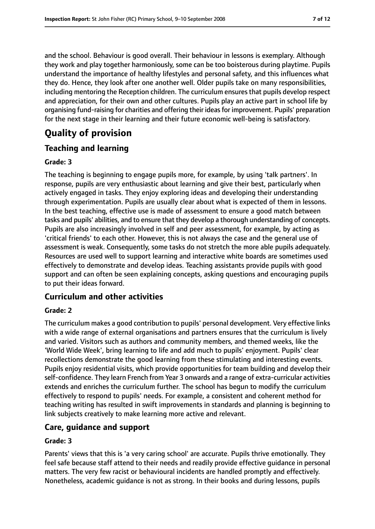and the school. Behaviour is good overall. Their behaviour in lessons is exemplary. Although they work and play together harmoniously, some can be too boisterous during playtime. Pupils understand the importance of healthy lifestyles and personal safety, and this influences what they do. Hence, they look after one another well. Older pupils take on many responsibilities, including mentoring the Reception children. The curriculum ensures that pupils develop respect and appreciation, for their own and other cultures. Pupils play an active part in school life by organising fund-raising for charities and offering their ideas for improvement. Pupils' preparation for the next stage in their learning and their future economic well-being is satisfactory.

# **Quality of provision**

## **Teaching and learning**

#### **Grade: 3**

The teaching is beginning to engage pupils more, for example, by using 'talk partners'. In response, pupils are very enthusiastic about learning and give their best, particularly when actively engaged in tasks. They enjoy exploring ideas and developing their understanding through experimentation. Pupils are usually clear about what is expected of them in lessons. In the best teaching, effective use is made of assessment to ensure a good match between tasks and pupils' abilities, and to ensure that they develop a thorough understanding of concepts. Pupils are also increasingly involved in self and peer assessment, for example, by acting as 'critical friends' to each other. However, this is not always the case and the general use of assessment is weak. Consequently, some tasks do not stretch the more able pupils adequately. Resources are used well to support learning and interactive white boards are sometimes used effectively to demonstrate and develop ideas. Teaching assistants provide pupils with good support and can often be seen explaining concepts, asking questions and encouraging pupils to put their ideas forward.

# **Curriculum and other activities**

#### **Grade: 2**

The curriculum makes a good contribution to pupils' personal development. Very effective links with a wide range of external organisations and partners ensures that the curriculum is lively and varied. Visitors such as authors and community members, and themed weeks, like the 'World Wide Week', bring learning to life and add much to pupils' enjoyment. Pupils' clear recollections demonstrate the good learning from these stimulating and interesting events. Pupils enjoy residential visits, which provide opportunities for team building and develop their self-confidence. They learn French from Year 3 onwards and a range of extra-curricular activities extends and enriches the curriculum further. The school has begun to modify the curriculum effectively to respond to pupils' needs. For example, a consistent and coherent method for teaching writing has resulted in swift improvements in standards and planning is beginning to link subjects creatively to make learning more active and relevant.

## **Care, guidance and support**

#### **Grade: 3**

Parents' views that this is 'a very caring school' are accurate. Pupils thrive emotionally. They feel safe because staff attend to their needs and readily provide effective guidance in personal matters. The very few racist or behavioural incidents are handled promptly and effectively. Nonetheless, academic guidance is not as strong. In their books and during lessons, pupils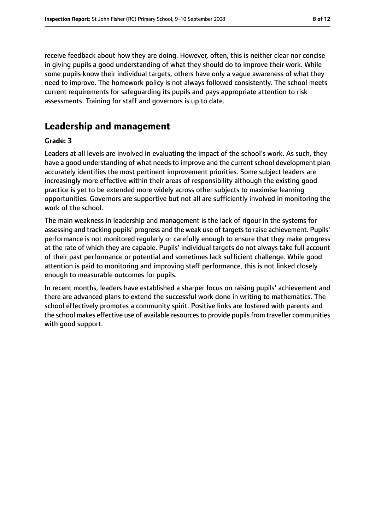receive feedback about how they are doing. However, often, this is neither clear nor concise in giving pupils a good understanding of what they should do to improve their work. While some pupils know their individual targets, others have only a vague awareness of what they need to improve. The homework policy is not always followed consistently. The school meets current requirements for safeguarding its pupils and pays appropriate attention to risk assessments. Training for staff and governors is up to date.

# **Leadership and management**

#### **Grade: 3**

Leaders at all levels are involved in evaluating the impact of the school's work. As such, they have a good understanding of what needs to improve and the current school development plan accurately identifies the most pertinent improvement priorities. Some subject leaders are increasingly more effective within their areas of responsibility although the existing good practice is yet to be extended more widely across other subjects to maximise learning opportunities. Governors are supportive but not all are sufficiently involved in monitoring the work of the school.

The main weakness in leadership and management is the lack of rigour in the systems for assessing and tracking pupils' progress and the weak use of targets to raise achievement. Pupils' performance is not monitored regularly or carefully enough to ensure that they make progress at the rate of which they are capable. Pupils' individual targets do not always take full account of their past performance or potential and sometimes lack sufficient challenge. While good attention is paid to monitoring and improving staff performance, this is not linked closely enough to measurable outcomes for pupils.

In recent months, leaders have established a sharper focus on raising pupils' achievement and there are advanced plans to extend the successful work done in writing to mathematics. The school effectively promotes a community spirit. Positive links are fostered with parents and the school makes effective use of available resources to provide pupils from traveller communities with good support.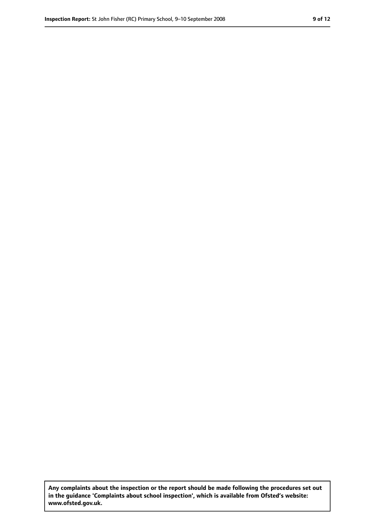**Any complaints about the inspection or the report should be made following the procedures set out in the guidance 'Complaints about school inspection', which is available from Ofsted's website: www.ofsted.gov.uk.**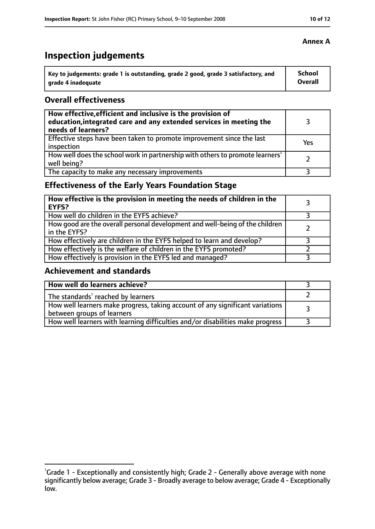# **Inspection judgements**

| Key to judgements: grade 1 is outstanding, grade 2 good, grade 3 satisfactory, and | <b>School</b> |
|------------------------------------------------------------------------------------|---------------|
| arade 4 inadequate                                                                 | Overall       |

## **Overall effectiveness**

| How effective, efficient and inclusive is the provision of<br>education, integrated care and any extended services in meeting the<br>needs of learners? |     |
|---------------------------------------------------------------------------------------------------------------------------------------------------------|-----|
| Effective steps have been taken to promote improvement since the last<br>inspection                                                                     | Yes |
| How well does the school work in partnership with others to promote learners'<br>well being?                                                            |     |
| The capacity to make any necessary improvements                                                                                                         |     |

# **Effectiveness of the Early Years Foundation Stage**

| How effective is the provision in meeting the needs of children in the<br><b>EYFS?</b>       |  |
|----------------------------------------------------------------------------------------------|--|
| How well do children in the EYFS achieve?                                                    |  |
| How good are the overall personal development and well-being of the children<br>in the EYFS? |  |
| How effectively are children in the EYFS helped to learn and develop?                        |  |
| How effectively is the welfare of children in the EYFS promoted?                             |  |
| How effectively is provision in the EYFS led and managed?                                    |  |

## **Achievement and standards**

| How well do learners achieve?                                                                               |  |
|-------------------------------------------------------------------------------------------------------------|--|
| The standards <sup>1</sup> reached by learners                                                              |  |
| How well learners make progress, taking account of any significant variations<br>between groups of learners |  |
| How well learners with learning difficulties and/or disabilities make progress                              |  |

<sup>&</sup>lt;sup>1</sup>Grade 1 - Exceptionally and consistently high; Grade 2 - Generally above average with none significantly below average; Grade 3 - Broadly average to below average; Grade 4 - Exceptionally low.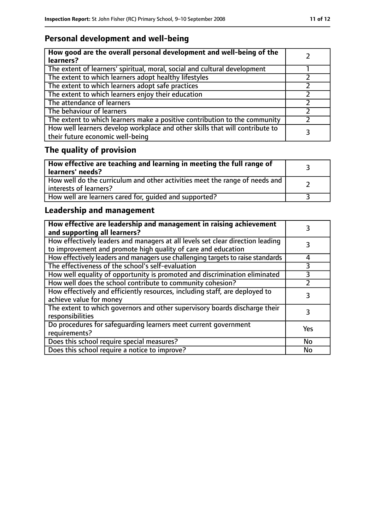# **Personal development and well-being**

| How good are the overall personal development and well-being of the<br>learners?                                 |  |
|------------------------------------------------------------------------------------------------------------------|--|
| The extent of learners' spiritual, moral, social and cultural development                                        |  |
| The extent to which learners adopt healthy lifestyles                                                            |  |
| The extent to which learners adopt safe practices                                                                |  |
| The extent to which learners enjoy their education                                                               |  |
| The attendance of learners                                                                                       |  |
| The behaviour of learners                                                                                        |  |
| The extent to which learners make a positive contribution to the community                                       |  |
| How well learners develop workplace and other skills that will contribute to<br>their future economic well-being |  |

# **The quality of provision**

| How effective are teaching and learning in meeting the full range of<br>learners' needs?              |  |
|-------------------------------------------------------------------------------------------------------|--|
| How well do the curriculum and other activities meet the range of needs and<br>interests of learners? |  |
| How well are learners cared for, quided and supported?                                                |  |

# **Leadership and management**

| How effective are leadership and management in raising achievement<br>and supporting all learners?                                              |           |
|-------------------------------------------------------------------------------------------------------------------------------------------------|-----------|
| How effectively leaders and managers at all levels set clear direction leading<br>to improvement and promote high quality of care and education |           |
| How effectively leaders and managers use challenging targets to raise standards                                                                 | 4         |
| The effectiveness of the school's self-evaluation                                                                                               | 3         |
| How well equality of opportunity is promoted and discrimination eliminated                                                                      | 3         |
| How well does the school contribute to community cohesion?                                                                                      |           |
| How effectively and efficiently resources, including staff, are deployed to<br>achieve value for money                                          |           |
| The extent to which governors and other supervisory boards discharge their<br>responsibilities                                                  | 3         |
| Do procedures for safequarding learners meet current government<br>requirements?                                                                | Yes       |
| Does this school require special measures?                                                                                                      | <b>No</b> |
| Does this school require a notice to improve?                                                                                                   | No        |